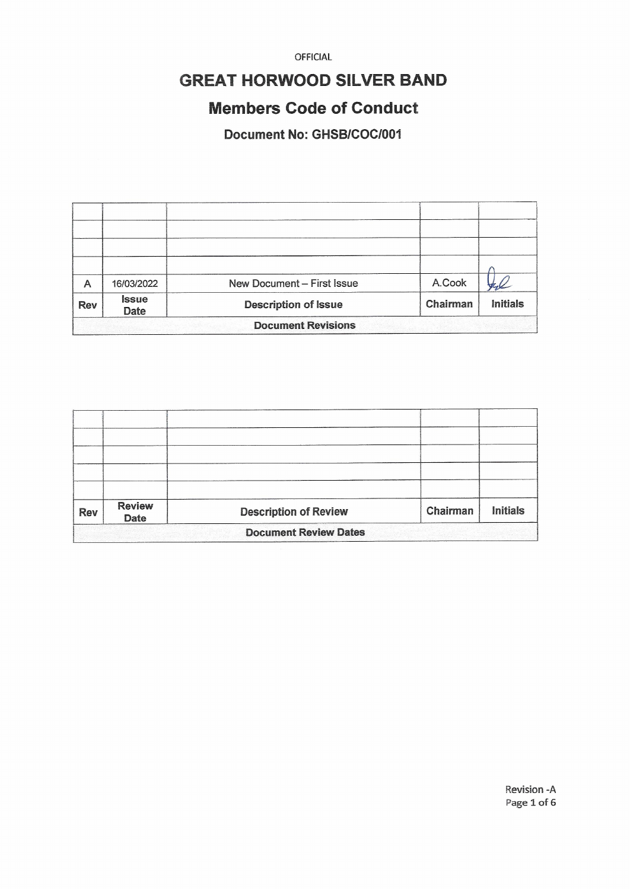## **GREAT HORWOOD SILVER BAND**

## **Members Code of Conduct**

Document No: GHSB/COC/001

| A                         | 16/03/2022                  | New Document - First Issue  | A.Cook   |                 |  |  |
|---------------------------|-----------------------------|-----------------------------|----------|-----------------|--|--|
| <b>Rev</b>                | <b>Issue</b><br><b>Date</b> | <b>Description of Issue</b> | Chairman | <b>Initials</b> |  |  |
| <b>Document Revisions</b> |                             |                             |          |                 |  |  |

| <b>Rev</b>                   | <b>Review</b><br><b>Date</b> | <b>Description of Review</b> | Chairman | <b>Initials</b> |  |  |
|------------------------------|------------------------------|------------------------------|----------|-----------------|--|--|
| <b>Document Review Dates</b> |                              |                              |          |                 |  |  |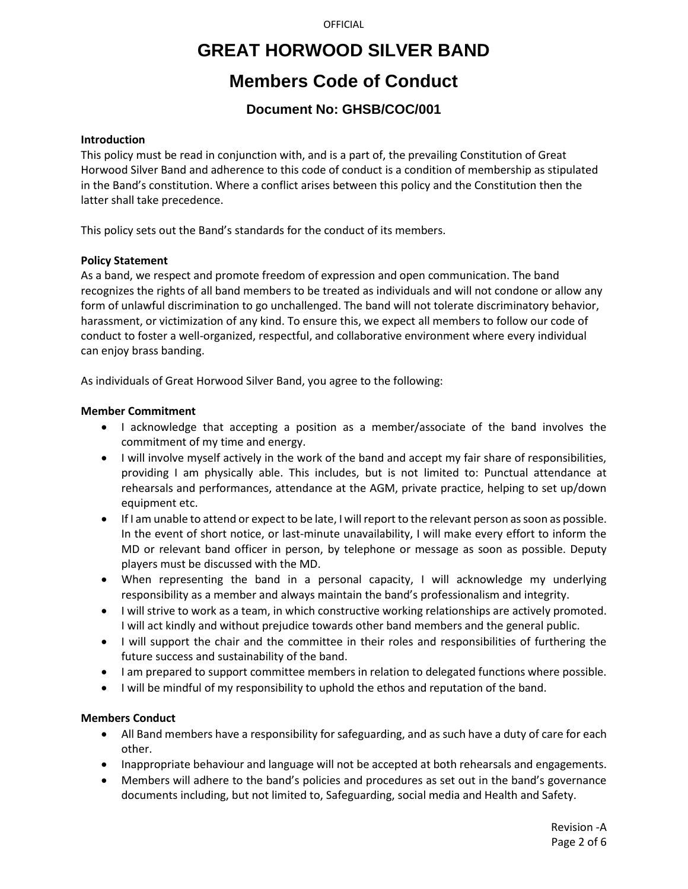## **GREAT HORWOOD SILVER BAND**

## **Members Code of Conduct**

## **Document No: GHSB/COC/001**

#### **Introduction**

This policy must be read in conjunction with, and is a part of, the prevailing Constitution of Great Horwood Silver Band and adherence to this code of conduct is a condition of membership as stipulated in the Band's constitution. Where a conflict arises between this policy and the Constitution then the latter shall take precedence.

This policy sets out the Band's standards for the conduct of its members.

### **Policy Statement**

As a band, we respect and promote freedom of expression and open communication. The band recognizes the rights of all band members to be treated as individuals and will not condone or allow any form of unlawful discrimination to go unchallenged. The band will not tolerate discriminatory behavior, harassment, or victimization of any kind. To ensure this, we expect all members to follow our code of conduct to foster a well-organized, respectful, and collaborative environment where every individual can enjoy brass banding.

As individuals of Great Horwood Silver Band, you agree to the following:

### **Member Commitment**

- I acknowledge that accepting a position as a member/associate of the band involves the commitment of my time and energy.
- I will involve myself actively in the work of the band and accept my fair share of responsibilities, providing I am physically able. This includes, but is not limited to: Punctual attendance at rehearsals and performances, attendance at the AGM, private practice, helping to set up/down equipment etc.
- If I am unable to attend or expect to be late, I will report to the relevant person as soon as possible. In the event of short notice, or last-minute unavailability, I will make every effort to inform the MD or relevant band officer in person, by telephone or message as soon as possible. Deputy players must be discussed with the MD.
- When representing the band in a personal capacity, I will acknowledge my underlying responsibility as a member and always maintain the band's professionalism and integrity.
- I will strive to work as a team, in which constructive working relationships are actively promoted. I will act kindly and without prejudice towards other band members and the general public.
- I will support the chair and the committee in their roles and responsibilities of furthering the future success and sustainability of the band.
- I am prepared to support committee members in relation to delegated functions where possible.
- I will be mindful of my responsibility to uphold the ethos and reputation of the band.

### **Members Conduct**

- All Band members have a responsibility for safeguarding, and as such have a duty of care for each other.
- Inappropriate behaviour and language will not be accepted at both rehearsals and engagements.
- Members will adhere to the band's policies and procedures as set out in the band's governance documents including, but not limited to, Safeguarding, social media and Health and Safety.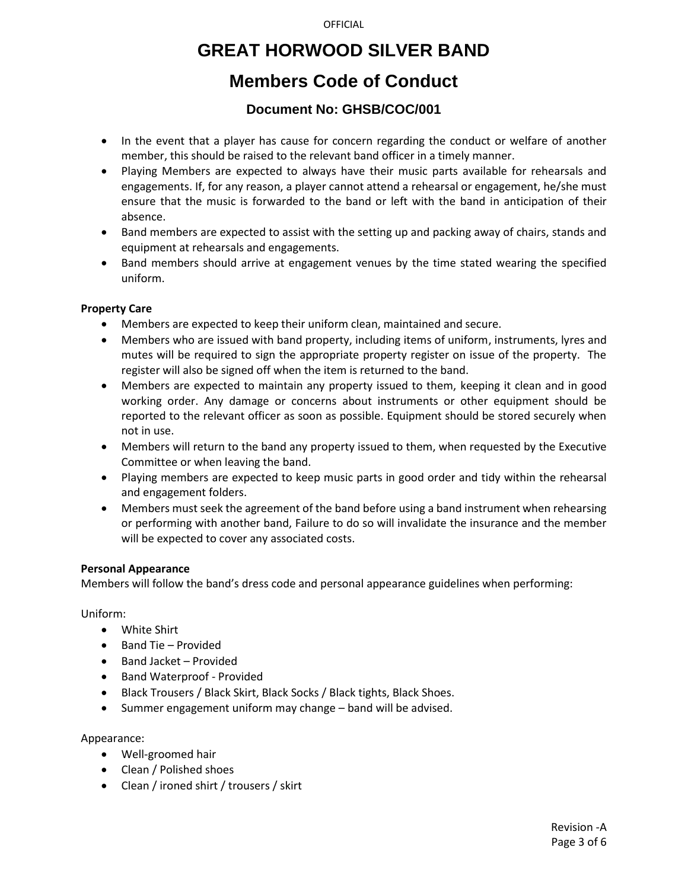## **GREAT HORWOOD SILVER BAND**

## **Members Code of Conduct**

### **Document No: GHSB/COC/001**

- In the event that a player has cause for concern regarding the conduct or welfare of another member, this should be raised to the relevant band officer in a timely manner.
- Playing Members are expected to always have their music parts available for rehearsals and engagements. If, for any reason, a player cannot attend a rehearsal or engagement, he/she must ensure that the music is forwarded to the band or left with the band in anticipation of their absence.
- Band members are expected to assist with the setting up and packing away of chairs, stands and equipment at rehearsals and engagements.
- Band members should arrive at engagement venues by the time stated wearing the specified uniform.

### **Property Care**

- Members are expected to keep their uniform clean, maintained and secure.
- Members who are issued with band property, including items of uniform, instruments, lyres and mutes will be required to sign the appropriate property register on issue of the property. The register will also be signed off when the item is returned to the band.
- Members are expected to maintain any property issued to them, keeping it clean and in good working order. Any damage or concerns about instruments or other equipment should be reported to the relevant officer as soon as possible. Equipment should be stored securely when not in use.
- Members will return to the band any property issued to them, when requested by the Executive Committee or when leaving the band.
- Playing members are expected to keep music parts in good order and tidy within the rehearsal and engagement folders.
- Members must seek the agreement of the band before using a band instrument when rehearsing or performing with another band, Failure to do so will invalidate the insurance and the member will be expected to cover any associated costs.

#### **Personal Appearance**

Members will follow the band's dress code and personal appearance guidelines when performing:

Uniform:

- White Shirt
- Band Tie Provided
- Band Jacket Provided
- Band Waterproof Provided
- Black Trousers / Black Skirt, Black Socks / Black tights, Black Shoes.
- Summer engagement uniform may change band will be advised.

Appearance:

- Well-groomed hair
- Clean / Polished shoes
- Clean / ironed shirt / trousers / skirt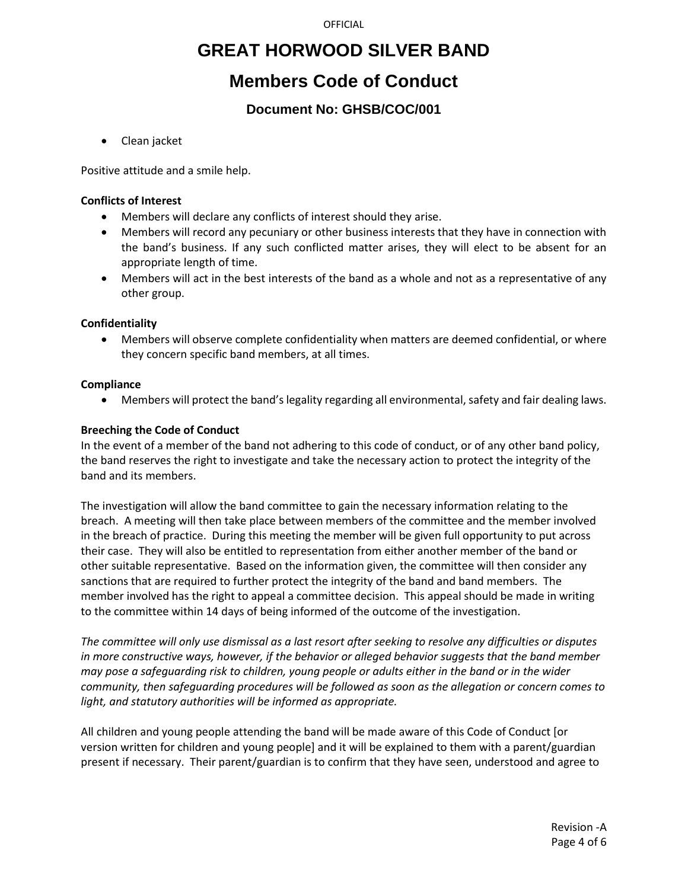## **GREAT HORWOOD SILVER BAND**

## **Members Code of Conduct**

## **Document No: GHSB/COC/001**

• Clean jacket

Positive attitude and a smile help.

### **Conflicts of Interest**

- Members will declare any conflicts of interest should they arise.
- Members will record any pecuniary or other business interests that they have in connection with the band's business. If any such conflicted matter arises, they will elect to be absent for an appropriate length of time.
- Members will act in the best interests of the band as a whole and not as a representative of any other group.

### **Confidentiality**

• Members will observe complete confidentiality when matters are deemed confidential, or where they concern specific band members, at all times.

### **Compliance**

• Members will protect the band's legality regarding all environmental, safety and fair dealing laws.

### **Breeching the Code of Conduct**

In the event of a member of the band not adhering to this code of conduct, or of any other band policy, the band reserves the right to investigate and take the necessary action to protect the integrity of the band and its members.

The investigation will allow the band committee to gain the necessary information relating to the breach. A meeting will then take place between members of the committee and the member involved in the breach of practice. During this meeting the member will be given full opportunity to put across their case. They will also be entitled to representation from either another member of the band or other suitable representative. Based on the information given, the committee will then consider any sanctions that are required to further protect the integrity of the band and band members. The member involved has the right to appeal a committee decision. This appeal should be made in writing to the committee within 14 days of being informed of the outcome of the investigation.

*The committee will only use dismissal as a last resort after seeking to resolve any difficulties or disputes in more constructive ways, however, if the behavior or alleged behavior suggests that the band member may pose a safeguarding risk to children, young people or adults either in the band or in the wider community, then safeguarding procedures will be followed as soon as the allegation or concern comes to light, and statutory authorities will be informed as appropriate.*

All children and young people attending the band will be made aware of this Code of Conduct [or version written for children and young people] and it will be explained to them with a parent/guardian present if necessary. Their parent/guardian is to confirm that they have seen, understood and agree to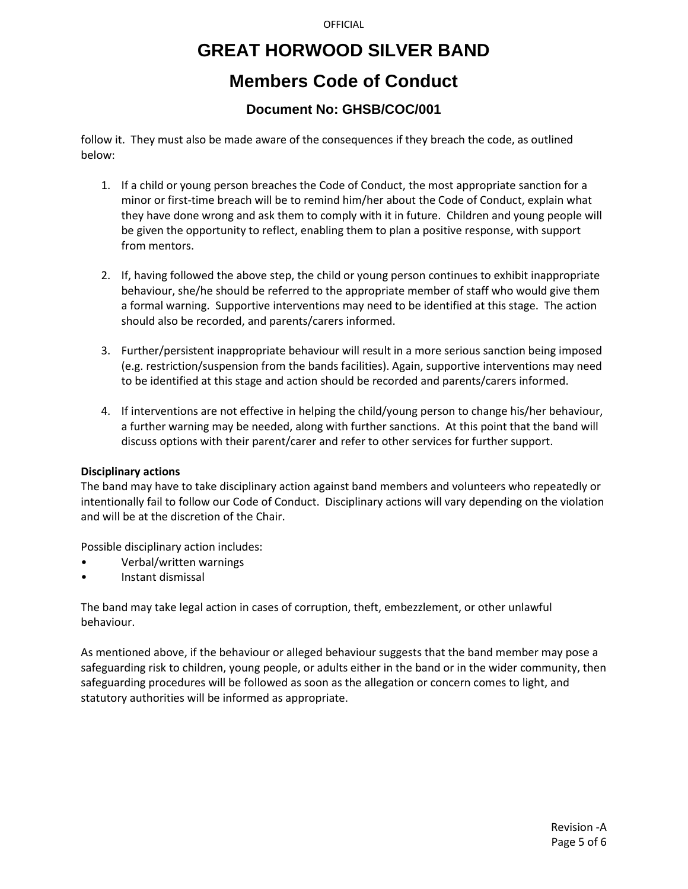# **GREAT HORWOOD SILVER BAND**

## **Members Code of Conduct**

## **Document No: GHSB/COC/001**

follow it. They must also be made aware of the consequences if they breach the code, as outlined below:

- 1. If a child or young person breaches the Code of Conduct, the most appropriate sanction for a minor or first-time breach will be to remind him/her about the Code of Conduct, explain what they have done wrong and ask them to comply with it in future. Children and young people will be given the opportunity to reflect, enabling them to plan a positive response, with support from mentors.
- 2. If, having followed the above step, the child or young person continues to exhibit inappropriate behaviour, she/he should be referred to the appropriate member of staff who would give them a formal warning. Supportive interventions may need to be identified at this stage. The action should also be recorded, and parents/carers informed.
- 3. Further/persistent inappropriate behaviour will result in a more serious sanction being imposed (e.g. restriction/suspension from the bands facilities). Again, supportive interventions may need to be identified at this stage and action should be recorded and parents/carers informed.
- 4. If interventions are not effective in helping the child/young person to change his/her behaviour, a further warning may be needed, along with further sanctions. At this point that the band will discuss options with their parent/carer and refer to other services for further support.

#### **Disciplinary actions**

The band may have to take disciplinary action against band members and volunteers who repeatedly or intentionally fail to follow our Code of Conduct. Disciplinary actions will vary depending on the violation and will be at the discretion of the Chair.

Possible disciplinary action includes:

- Verbal/written warnings
- Instant dismissal

The band may take legal action in cases of corruption, theft, embezzlement, or other unlawful behaviour.

As mentioned above, if the behaviour or alleged behaviour suggests that the band member may pose a safeguarding risk to children, young people, or adults either in the band or in the wider community, then safeguarding procedures will be followed as soon as the allegation or concern comes to light, and statutory authorities will be informed as appropriate.